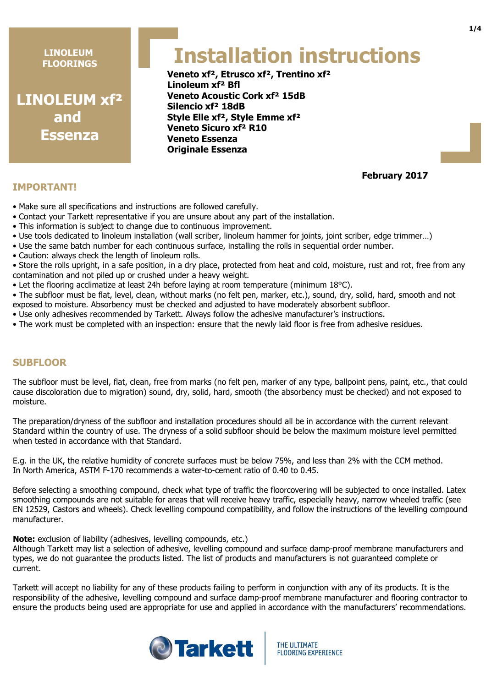**LINOLEUM xf² and Essenza**

# **Installation instructions**

**Veneto xf², Etrusco xf², Trentino xf² Linoleum xf² Bfl Veneto Acoustic Cork xf² 15dB Silencio xf² 18dB Style Elle xf², Style Emme xf² Veneto Sicuro xf² R10 Veneto Essenza Originale Essenza**

# **February 2017**

- Make sure all specifications and instructions are followed carefully.
- Contact your Tarkett representative if you are unsure about any part of the installation.
- This information is subject to change due to continuous improvement.
- Use tools dedicated to linoleum installation (wall scriber, linoleum hammer for joints, joint scriber, edge trimmer…)
- Use the same batch number for each continuous surface, installing the rolls in sequential order number.
- Caution: always check the length of linoleum rolls.

• Store the rolls upright, in a safe position, in a dry place, protected from heat and cold, moisture, rust and rot, free from any contamination and not piled up or crushed under a heavy weight.

• Let the flooring acclimatize at least 24h before laying at room temperature (minimum 18°C).

• The subfloor must be flat, level, clean, without marks (no felt pen, marker, etc.), sound, dry, solid, hard, smooth and not exposed to moisture. Absorbency must be checked and adjusted to have moderately absorbent subfloor.

- Use only adhesives recommended by Tarkett. Always follow the adhesive manufacturer's instructions.
- The work must be completed with an inspection: ensure that the newly laid floor is free from adhesive residues.

# **SUBFLOOR**

**IMPORTANT!**

The subfloor must be level, flat, clean, free from marks (no felt pen, marker of any type, ballpoint pens, paint, etc., that could cause discoloration due to migration) sound, dry, solid, hard, smooth (the absorbency must be checked) and not exposed to moisture.

The preparation/dryness of the subfloor and installation procedures should all be in accordance with the current relevant Standard within the country of use. The dryness of a solid subfloor should be below the maximum moisture level permitted when tested in accordance with that Standard.

E.g. in the UK, the relative humidity of concrete surfaces must be below 75%, and less than 2% with the CCM method. In North America, ASTM F-170 recommends a water-to-cement ratio of 0.40 to 0.45.

Before selecting a smoothing compound, check what type of traffic the floorcovering will be subjected to once installed. Latex smoothing compounds are not suitable for areas that will receive heavy traffic, especially heavy, narrow wheeled traffic (see EN 12529, Castors and wheels). Check levelling compound compatibility, and follow the instructions of the levelling compound manufacturer.

**Note:** exclusion of liability (adhesives, levelling compounds, etc.)

Although Tarkett may list a selection of adhesive, levelling compound and surface damp-proof membrane manufacturers and types, we do not guarantee the products listed. The list of products and manufacturers is not guaranteed complete or current.

Tarkett will accept no liability for any of these products failing to perform in conjunction with any of its products. It is the responsibility of the adhesive, levelling compound and surface damp-proof membrane manufacturer and flooring contractor to ensure the products being used are appropriate for use and applied in accordance with the manufacturers' recommendations.

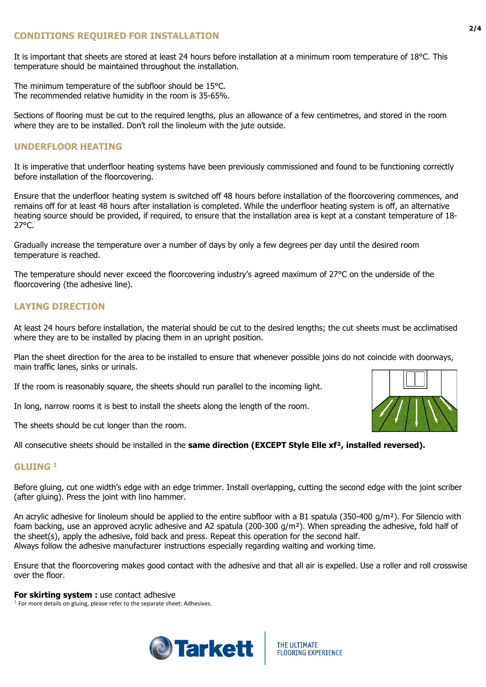# **CONDITIONS REQUIRED FOR INSTALLATION**

It is important that sheets are stored at least 24 hours before installation at a minimum room temperature of 18°C. This temperature should be maintained throughout the installation.

The minimum temperature of the subfloor should be 15°C. The recommended relative humidity in the room is 35-65%.

Sections of flooring must be cut to the required lengths, plus an allowance of a few centimetres, and stored in the room where they are to be installed. Don't roll the linoleum with the jute outside.

#### **UNDERFLOOR HEATING**

It is imperative that underfloor heating systems have been previously commissioned and found to be functioning correctly before installation of the floorcovering.

Ensure that the underfloor heating system is switched off 48 hours before installation of the floorcovering commences, and remains off for at least 48 hours after installation is completed. While the underfloor heating system is off, an alternative heating source should be provided, if required, to ensure that the installation area is kept at a constant temperature of 18- 27°C.

Gradually increase the temperature over a number of days by only a few degrees per day until the desired room temperature is reached.

The temperature should never exceed the floorcovering industry's agreed maximum of 27°C on the underside of the floorcovering (the adhesive line).

# **LAYING DIRECTION**

At least 24 hours before installation, the material should be cut to the desired lengths; the cut sheets must be acclimatised where they are to be installed by placing them in an upright position.

Plan the sheet direction for the area to be installed to ensure that whenever possible joins do not coincide with doorways, main traffic lanes, sinks or urinals.

If the room is reasonably square, the sheets should run parallel to the incoming light.

In long, narrow rooms it is best to install the sheets along the length of the room.

The sheets should be cut longer than the room.

All consecutive sheets should be installed in the **same direction (EXCEPT Style Elle xf², installed reversed).**

#### **GLUING <sup>1</sup>**

Before gluing, cut one width's edge with an edge trimmer. Install overlapping, cutting the second edge with the joint scriber (after gluing). Press the joint with lino hammer.

An acrylic adhesive for linoleum should be applied to the entire subfloor with a B1 spatula (350-400  $q/m^2$ ). For Silencio with foam backing, use an approved acrylic adhesive and A2 spatula (200-300  $q/m<sup>2</sup>$ ). When spreading the adhesive, fold half of the sheet(s), apply the adhesive, fold back and press. Repeat this operation for the second half. Always follow the adhesive manufacturer instructions especially regarding waiting and working time.

Ensure that the floorcovering makes good contact with the adhesive and that all air is expelled. Use a roller and roll crosswise over the floor.

#### **For skirting system : use contact adhesive**

**<sup>1</sup>** For more details on gluing, please refer to the separate sheet: Adhesives.





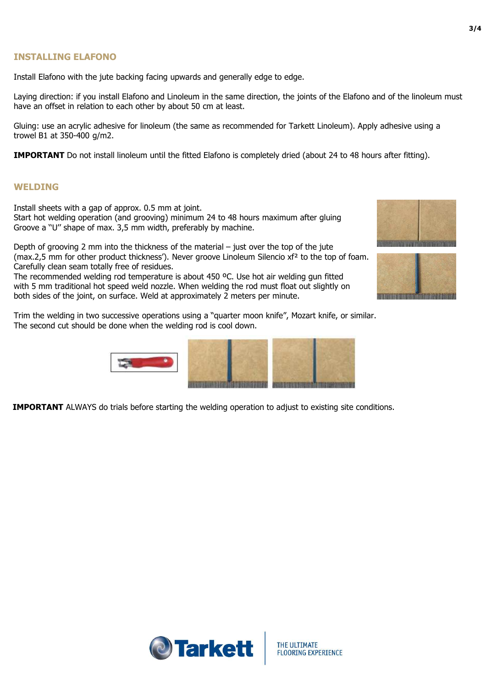#### **INSTALLING ELAFONO**

Install Elafono with the jute backing facing upwards and generally edge to edge.

Laying direction: if you install Elafono and Linoleum in the same direction, the joints of the Elafono and of the linoleum must have an offset in relation to each other by about 50 cm at least.

Gluing: use an acrylic adhesive for linoleum (the same as recommended for Tarkett Linoleum). Apply adhesive using a trowel B1 at 350-400 g/m2.

**IMPORTANT** Do not install linoleum until the fitted Elafono is completely dried (about 24 to 48 hours after fitting).

#### **WELDING**

Install sheets with a gap of approx. 0.5 mm at joint. Start hot welding operation (and grooving) minimum 24 to 48 hours maximum after gluing Groove a ''U'' shape of max. 3,5 mm width, preferably by machine.

Depth of grooving 2 mm into the thickness of the material – just over the top of the jute (max.2,5 mm for other product thickness'). Never groove Linoleum Silencio  $xf^2$  to the top of foam. Carefully clean seam totally free of residues.

The recommended welding rod temperature is about 450 ºC. Use hot air welding gun fitted with 5 mm traditional hot speed weld nozzle. When welding the rod must float out slightly on both sides of the joint, on surface. Weld at approximately 2 meters per minute.

Trim the welding in two successive operations using a "quarter moon knife", Mozart knife, or similar. The second cut should be done when the welding rod is cool down.



**IMPORTANT** ALWAYS do trials before starting the welding operation to adjust to existing site conditions.